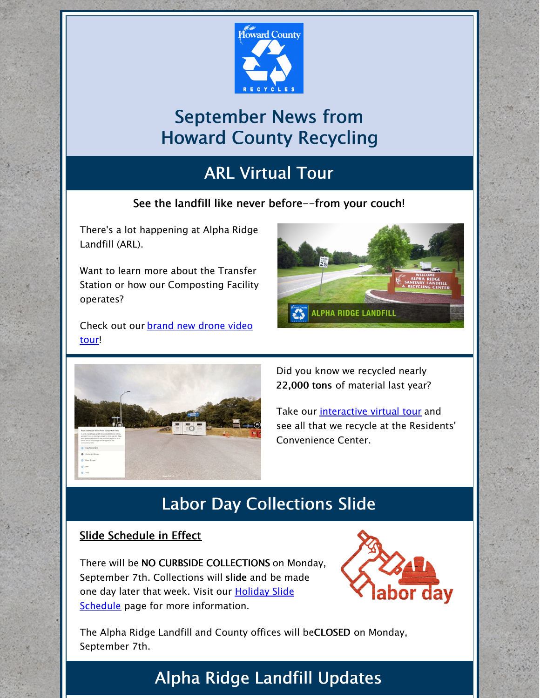

# September News from Howard County Recycling

# ARL Virtual Tour

#### See the landfill like never before--from your couch!

There's a lot happening at Alpha Ridge Landfill (ARL).

Want to learn more about the Transfer Station or how our Composting Facility operates?

[Check](https://youtu.be/c3VM-udIB6M) out our brand new drone video tour!





Did you know we recycled nearly 22,000 tons of material last year?

Take our [interactive](https://poly.google.com/view/3CQJDi0MAbD) virtual tour and see all that we recycle at the Residents' Convenience Center.

## Labor Day Collections Slide

#### Slide Schedule in Effect

There will be NO CURBSIDE COLLECTIONS on Monday, September 7th. Collections will slide and be made one day later that week. Visit our **Holiday Slide** Schedule page for more [information.](https://www.howardcountymd.gov/Departments/Public-Works/Bureau-Of-Environmental-Services/Curbside-Collections/Holiday-Schedule-for-Recycling-Trash)



The Alpha Ridge Landfill and County offices will beCLOSED on Monday, September 7th.

### Alpha Ridge Landfill Updates